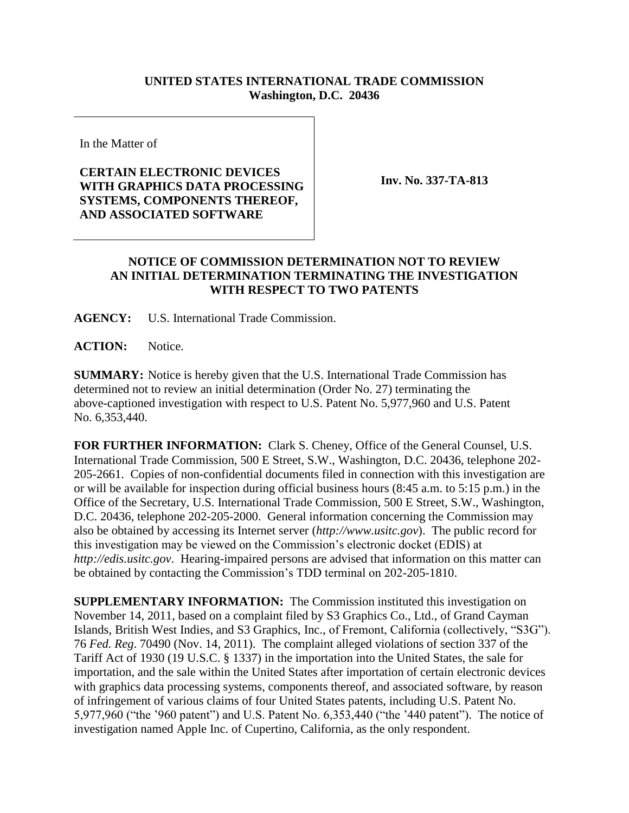## **UNITED STATES INTERNATIONAL TRADE COMMISSION Washington, D.C. 20436**

In the Matter of

## **CERTAIN ELECTRONIC DEVICES WITH GRAPHICS DATA PROCESSING SYSTEMS, COMPONENTS THEREOF, AND ASSOCIATED SOFTWARE**

**Inv. No. 337-TA-813**

## **NOTICE OF COMMISSION DETERMINATION NOT TO REVIEW AN INITIAL DETERMINATION TERMINATING THE INVESTIGATION WITH RESPECT TO TWO PATENTS**

**AGENCY:** U.S. International Trade Commission.

**ACTION:** Notice.

**SUMMARY:** Notice is hereby given that the U.S. International Trade Commission has determined not to review an initial determination (Order No. 27) terminating the above-captioned investigation with respect to U.S. Patent No. 5,977,960 and U.S. Patent No. 6,353,440.

**FOR FURTHER INFORMATION:** Clark S. Cheney, Office of the General Counsel, U.S. International Trade Commission, 500 E Street, S.W., Washington, D.C. 20436, telephone 202- 205-2661. Copies of non-confidential documents filed in connection with this investigation are or will be available for inspection during official business hours (8:45 a.m. to 5:15 p.m.) in the Office of the Secretary, U.S. International Trade Commission, 500 E Street, S.W., Washington, D.C. 20436, telephone 202-205-2000. General information concerning the Commission may also be obtained by accessing its Internet server (*http://www.usitc.gov*). The public record for this investigation may be viewed on the Commission's electronic docket (EDIS) at *http://edis.usitc.gov*. Hearing-impaired persons are advised that information on this matter can be obtained by contacting the Commission's TDD terminal on 202-205-1810.

**SUPPLEMENTARY INFORMATION:** The Commission instituted this investigation on November 14, 2011, based on a complaint filed by S3 Graphics Co., Ltd., of Grand Cayman Islands, British West Indies, and S3 Graphics, Inc., of Fremont, California (collectively, "S3G"). 76 *Fed. Reg*. 70490 (Nov. 14, 2011). The complaint alleged violations of section 337 of the Tariff Act of 1930 (19 U.S.C. § 1337) in the importation into the United States, the sale for importation, and the sale within the United States after importation of certain electronic devices with graphics data processing systems, components thereof, and associated software, by reason of infringement of various claims of four United States patents, including U.S. Patent No. 5,977,960 ("the '960 patent") and U.S. Patent No. 6,353,440 ("the '440 patent"). The notice of investigation named Apple Inc. of Cupertino, California, as the only respondent.